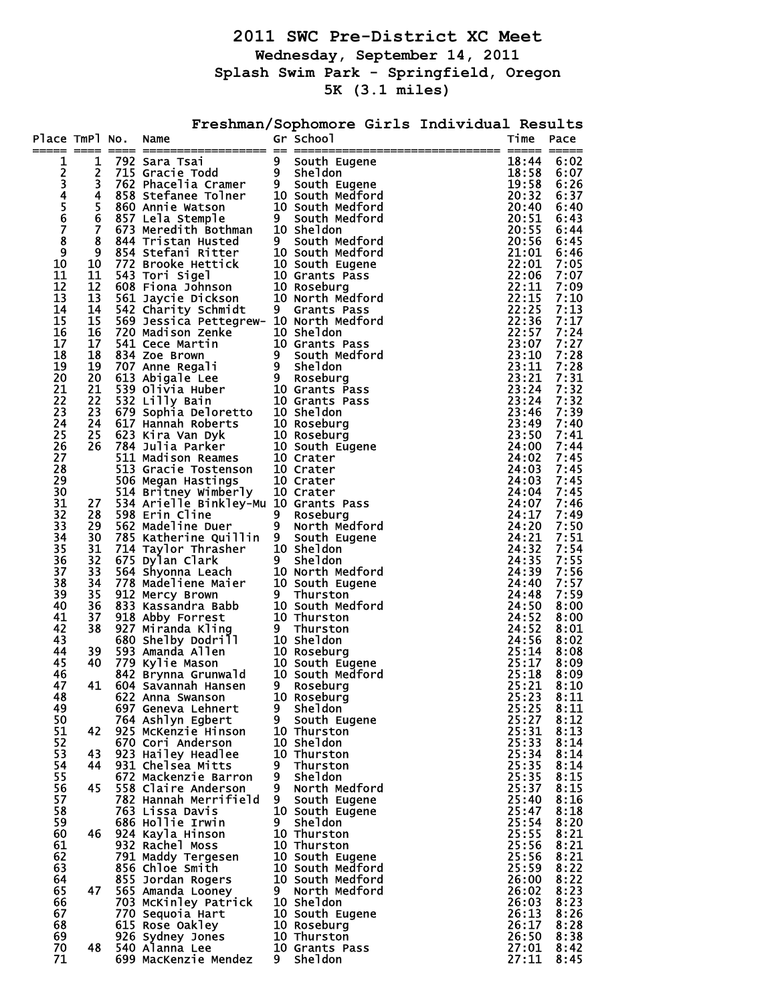**2011 SWC Pre-District XC Meet Wednesday, September 14, 2011 Splash Swim Park - Springfield, Oregon 5K (3.1 miles)** 

| Place TmPl No.          |                     | Name                                                                                                                                                                                                                                                   |                               | Freshman/Sophomore Girls Individual Results<br>Gr School | Time           | Pace         |
|-------------------------|---------------------|--------------------------------------------------------------------------------------------------------------------------------------------------------------------------------------------------------------------------------------------------------|-------------------------------|----------------------------------------------------------|----------------|--------------|
|                         | $=$ $=$ $=$ $=$     |                                                                                                                                                                                                                                                        |                               |                                                          | EEEEE EEEEE    |              |
| 1                       | 1                   |                                                                                                                                                                                                                                                        |                               |                                                          | 18:44          | 6:02         |
| 2<br>$\bar{\mathbf{3}}$ | $\overline{2}$<br>3 |                                                                                                                                                                                                                                                        |                               |                                                          | 18:58<br>19:58 | 6:07<br>6:26 |
| 4                       | 4                   |                                                                                                                                                                                                                                                        |                               |                                                          | 20:32          | 6:37         |
| 5                       | 5                   |                                                                                                                                                                                                                                                        |                               |                                                          | 20:40          | 6:40         |
| 6                       | 6                   |                                                                                                                                                                                                                                                        |                               |                                                          | 20:51          | 6:43         |
| $\overline{\mathbf{z}}$ | $\overline{7}$      |                                                                                                                                                                                                                                                        |                               |                                                          | 20:55          | 6:44         |
| 8                       | 8                   |                                                                                                                                                                                                                                                        |                               |                                                          | 20:56          | 6:45         |
| 9                       | 9                   |                                                                                                                                                                                                                                                        |                               |                                                          | 21:01          | 6:46         |
| 10                      | 10                  |                                                                                                                                                                                                                                                        |                               |                                                          | 22:01          | 7:05         |
| 11                      | 11                  |                                                                                                                                                                                                                                                        |                               |                                                          | 22:06          | 7:07         |
| 12<br>13                | 12<br>13            |                                                                                                                                                                                                                                                        |                               |                                                          | 22:11<br>22:15 | 7:09<br>7:10 |
| 14                      | 14                  |                                                                                                                                                                                                                                                        |                               |                                                          | 22:25          | 7:13         |
| 15                      | 15                  | 569 Jessica Pettegrew- 10 North Medford                                                                                                                                                                                                                |                               |                                                          | 22:36          | 7:17         |
| 16                      | 16                  |                                                                                                                                                                                                                                                        |                               |                                                          | 22:57          | 7:24         |
| 17                      | 17                  |                                                                                                                                                                                                                                                        |                               |                                                          | 23:07          | 7:27         |
| 18                      | 18                  |                                                                                                                                                                                                                                                        |                               |                                                          | 23:10          | 7:28         |
| 19                      | 19                  |                                                                                                                                                                                                                                                        |                               |                                                          | 23:11          | 7:28         |
| 20                      | 20                  |                                                                                                                                                                                                                                                        |                               |                                                          | 23:21          | 7:31         |
| 21                      | 21                  |                                                                                                                                                                                                                                                        |                               |                                                          | 23:24          | 7:32<br>7:32 |
| 22<br>23                | 22<br>23            |                                                                                                                                                                                                                                                        |                               |                                                          | 23:24<br>23:46 | 7:39         |
| 24                      | 24                  |                                                                                                                                                                                                                                                        |                               |                                                          | 23:49          | 7:40         |
| 25                      | 25                  |                                                                                                                                                                                                                                                        |                               |                                                          | 23:50          | 7:41         |
| 26                      | 26                  |                                                                                                                                                                                                                                                        |                               |                                                          | 24:00          | 7:44         |
| 27                      |                     | 569 Jessica Pettegrew- 10 North Medford<br>720 Madison Zenke 10 Sheldon<br>541 Cece Brown<br>834 Zoe Brown<br>613 Abigale Lee 9 Roseburg<br>539 Olivia Huber 10 Grants Pass<br>532 Lilly Bain 10 Grants Pass<br>679 Sophia Deloretto 10 Sheldon<br>617 |                               |                                                          | 24:02          | 7:45         |
| 28                      |                     |                                                                                                                                                                                                                                                        |                               |                                                          | 24:03          | 7:45         |
| 29                      |                     | 506 Megan Hastings 10 Crater<br>514 Britney Wimberly 10 Crater                                                                                                                                                                                         |                               |                                                          | 24:03          | 7:45         |
| 30                      |                     |                                                                                                                                                                                                                                                        |                               |                                                          | 24:04          | 7:45         |
| 31                      | 27                  | 534 Arielle Binkley-Mu 10 Grants Pass                                                                                                                                                                                                                  |                               |                                                          | 24:07          | 7:46         |
| 32<br>33                | 28<br>29            | 598 Erin Cline<br>562 Madeline Duer                                                                                                                                                                                                                    | $9^{\circ}$<br>9 <sub>o</sub> | Roseburg<br>North Medford                                | 24:17<br>24:20 | 7:49<br>7:50 |
| 34                      | 30                  | 785 Katherine Quillin 9                                                                                                                                                                                                                                |                               | South Eugene                                             | 24:21          | 7:51         |
| 35                      | 31                  | 785 Katherine Quillin 9 South Eugene<br>714 Taylor Thrasher 10 Sheldon<br>675 Dylan Clark 9 Sheldon<br>564 Shyonna Leach 10 North Medford<br>778 Madeliene Maier 10 South Eugene<br>912 Mercy Brown 9 Thurston<br>833 Kassandra Babb 10 So             |                               |                                                          | 24:32          | 7:54         |
| 36                      | 32                  |                                                                                                                                                                                                                                                        |                               |                                                          | 24:35          | 7:55         |
| 37                      | 33                  |                                                                                                                                                                                                                                                        |                               |                                                          | 24:39          | 7:56         |
| 38                      | 34                  |                                                                                                                                                                                                                                                        |                               |                                                          | 24:40          | 7:57         |
| 39                      | 35                  |                                                                                                                                                                                                                                                        |                               |                                                          | 24:48          | 7:59         |
| 40                      | 36                  |                                                                                                                                                                                                                                                        |                               |                                                          | 24:50          | 8:00         |
| 41<br>42                | 37<br>38            |                                                                                                                                                                                                                                                        |                               |                                                          | 24:52<br>24:52 | 8:00<br>8:01 |
| 43                      |                     |                                                                                                                                                                                                                                                        |                               |                                                          | 24:56          | 8:02         |
| 44                      | 39                  |                                                                                                                                                                                                                                                        |                               |                                                          | 25:14          | 8:08         |
| 45                      | 40                  |                                                                                                                                                                                                                                                        |                               |                                                          | 25:17          | 8:09         |
| 46                      |                     |                                                                                                                                                                                                                                                        |                               |                                                          | 25:18          | 8:09         |
| 47                      | 41                  | 604 Savannan Hansen                                                                                                                                                                                                                                    | 9.                            | <b>Roseburg</b>                                          | 25:ZI          | 8:10         |
| 48                      |                     | 622 Anna Swanson                                                                                                                                                                                                                                       |                               | 10 Roseburg                                              | 25:23          | 8:11         |
| 49                      |                     | 697 Geneva Lehnert                                                                                                                                                                                                                                     | 9.                            | <b>Sheldon</b>                                           | 25:25          | 8:11         |
| 50<br>51                | 42                  | 764 Ashlyn Egbert<br>925 McKenzie Hinson                                                                                                                                                                                                               | 9                             | South Eugene                                             | 25:27<br>25:31 | 8:12<br>8:13 |
| 52                      |                     | 670 Cori Anderson                                                                                                                                                                                                                                      |                               | 10 Thurston<br>10 Sheldon                                | 25:33          | 8:14         |
| 53                      | 43                  | 923 Hailey Headlee                                                                                                                                                                                                                                     |                               | 10 Thurston                                              | 25:34          | 8:14         |
| 54                      | 44                  | 931 Chelsea Mitts                                                                                                                                                                                                                                      | 9                             | Thurston                                                 | 25:35          | 8:14         |
| 55                      |                     | 672 Mackenzie Barron                                                                                                                                                                                                                                   | 9                             | <b>Sheldon</b>                                           | 25:35          | 8:15         |
| 56                      | 45                  | 558 Claire Anderson                                                                                                                                                                                                                                    | 9                             | North Medford                                            | 25:37          | 8:15         |
| 57                      |                     | 782 Hannah Merrifield                                                                                                                                                                                                                                  | 9                             | South Eugene                                             | 25:40          | 8:16         |
| 58                      |                     | 763 Lissa Davis                                                                                                                                                                                                                                        |                               | 10 South Eugene                                          | 25:47          | 8:18         |
| 59                      |                     | 686 Hollie Irwin                                                                                                                                                                                                                                       | 9                             | <b>Sheldon</b>                                           | 25:54          | 8:20         |
| 60                      | 46                  | 924 Kayla Hinson                                                                                                                                                                                                                                       |                               | 10 Thurston                                              | 25:55          | 8:21         |
| 61<br>62                |                     | 932 Rachel Moss<br>791 Maddy Tergesen                                                                                                                                                                                                                  |                               | 10 Thurston<br>10 South Eugene                           | 25:56<br>25:56 | 8:21<br>8:21 |
| 63                      |                     | 856 Chloe Smith                                                                                                                                                                                                                                        |                               | 10 South Medford                                         | 25:59          | 8:22         |
| 64                      |                     | 855 Jordan Rogers                                                                                                                                                                                                                                      |                               | 10 South Medford                                         | 26:00          | 8:22         |
| 65                      | 47                  | 565 Amanda Looney                                                                                                                                                                                                                                      | 9                             | North Medford                                            | 26:02          | 8:23         |
| 66                      |                     | 703 McKinley Patrick                                                                                                                                                                                                                                   |                               | 10 Sheldon                                               | 26:03          | 8:23         |
| 67                      |                     | 770 Sequoia Hart                                                                                                                                                                                                                                       |                               | 10 South Eugene                                          | 26:13          | 8:26         |
| 68                      |                     | 615 Rose Oakley                                                                                                                                                                                                                                        |                               | 10 Roseburg                                              | 26:17          | 8:28         |
| 69<br>70                | 48                  | 926 Sydney Jones<br>540 Alanna Lee                                                                                                                                                                                                                     |                               | 10 Thurston<br>10 Grants Pass                            | 26:50<br>27:01 | 8:38<br>8:42 |
| 71                      |                     | 699 MacKenzie Mendez                                                                                                                                                                                                                                   | 9.                            | Sheldon                                                  | 27:11          | 8:45         |
|                         |                     |                                                                                                                                                                                                                                                        |                               |                                                          |                |              |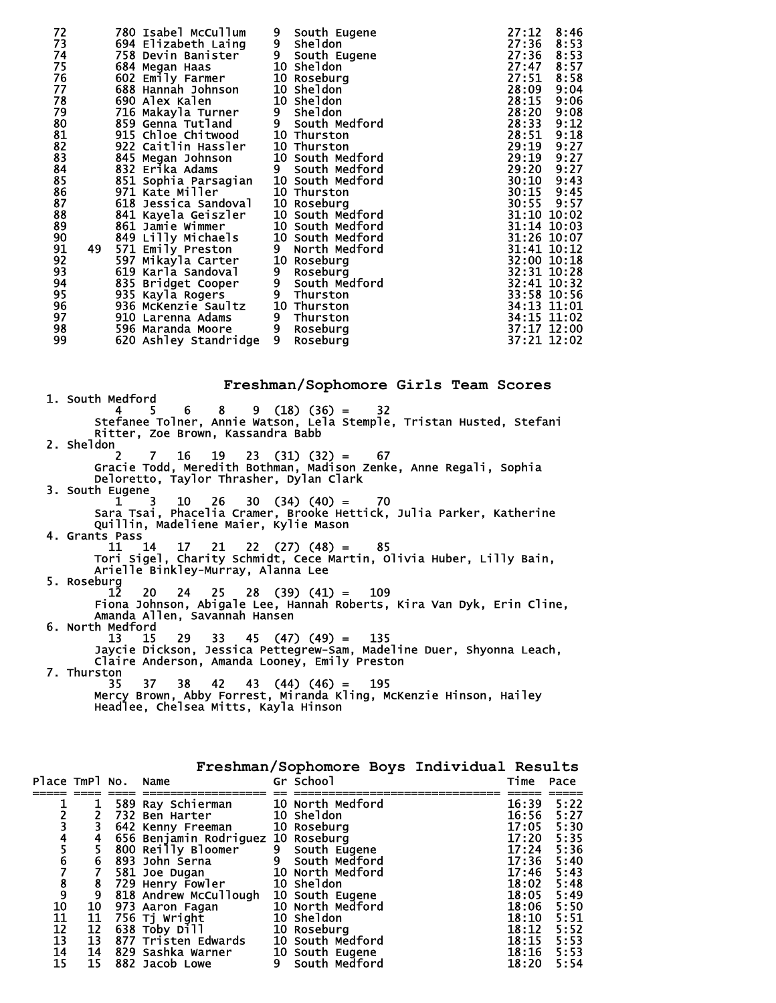| 72 |    | 780 Isabel McCullum                  | 9              | South Eugene     | 27:12 | 8:46        |
|----|----|--------------------------------------|----------------|------------------|-------|-------------|
| 73 |    | 694 Elizabeth Laing                  | 9              | <b>Sheldon</b>   | 27:36 | 8:53        |
| 74 |    | 758 Devin Banister                   |                | 9 South Eugene   | 27:36 | 8:53        |
| 75 |    | 684 Megan Haas                       |                | 10 Sheldon       | 27:47 | 8:57        |
| 76 |    | 602 Emily Farmer                     |                | 10 Roseburg      | 27:51 | 8:58        |
| 77 |    | 688 Hannah Johnson                   |                | 10 Sheldon       | 28:09 | 9:04        |
| 78 |    | 690 Alex Kalen                       |                | 10 Sheldon       | 28:15 | 9:06        |
| 79 |    | 716 Makayla Turner                   | 9              | <b>Sheldon</b>   | 28:20 | 9:08        |
| 80 |    | 859 Genna Tutland                    |                | 9 South Medford  | 28:33 | 9:12        |
| 81 |    | 915 Chloe Chitwood                   |                | 10 Thurston      | 28:51 | 9:18        |
| 82 |    | 922 Caitlin Hassler                  |                | 10 Thurston      | 29:19 | 9:27        |
| 83 |    |                                      |                | 10 South Medford | 29:19 | 9:27        |
| 84 |    | 845 Megan Johnson<br>832 Erika Adams |                | 9 South Medford  | 29:20 | 9:27        |
| 85 |    | 851 Sophia Parsagian                 |                | 10 South Medford | 30:10 | 9:43        |
| 86 |    | 971 Kate Miller                      |                | 10 Thurston      |       | 30:15 9:45  |
| 87 |    | 618 Jessica Sandoval                 |                | 10 Roseburg      |       | 30:55 9:57  |
| 88 |    | 841 Kayela Geiszler                  |                | 10 South Medford |       | 31:10 10:02 |
| 89 |    | 861 Jamie Wimmer                     |                | 10 South Medford |       | 31:14 10:03 |
| 90 |    | 849 Lilly Michaels                   |                | 10 South Medford |       | 31:26 10:07 |
| 91 | 49 | 571 Emily Preston                    | 9              | North Medford    |       | 31:41 10:12 |
| 92 |    | 597 Mikayla Carter                   |                | 10 Roseburg      |       | 32:00 10:18 |
| 93 |    | 619 Karla Sandoval                   | 9              | Roseburg         |       | 32:31 10:28 |
| 94 |    | 835 Bridget Cooper                   |                | 9 South Medford  |       | 32:41 10:32 |
| 95 |    | 935 Kayla Rogers                     | 9 <sub>o</sub> | Thurston         |       | 33:58 10:56 |
| 96 |    | 936 McKenzie Saultz                  |                | 10 Thurston      |       | 34:13 11:01 |
| 97 |    | 910 Larenna Adams                    |                | 9 Thurston       |       | 34:15 11:02 |
| 98 |    | 596 Maranda Moore                    | 9 <sub>o</sub> | Roseburg         |       | 37:17 12:00 |
| 99 |    | 620 Ashley Standridge                | 9              | Roseburg         |       | 37:21 12:02 |
|    |    |                                      |                |                  |       |             |

**Freshman/Sophomore Girls Team Scores** 1. South Medford  $4 \quad 5 \quad 6 \quad 8 \quad 9 \quad (18) \quad (36) = 32$  Stefanee Tolner, Annie Watson, Lela Stemple, Tristan Husted, Stefani Ritter, Zoe Brown, Kassandra Babb 2. Sheldon 2 7 16 19 23 (31) (32) = 67 Gracie Todd, Meredith Bothman, Madison Zenke, Anne Regali, Sophia Deloretto, Taylor Thrasher, Dylan Clark 3. South Eugene  $1 \quad 3 \quad 10 \quad 26 \quad 30 \quad (34) \quad (40) = \quad 70$  Sara Tsai, Phacelia Cramer, Brooke Hettick, Julia Parker, Katherine Quillin, Madeliene Maier, Kylie Mason 4. Grants Pass 11 14 17 21 22 (27) (48) = 85 Tori Sigel, Charity Schmidt, Cece Martin, Olivia Huber, Lilly Bain, Arielle Binkley-Murray, Alanna Lee 5. Roseburg 12 20 24 25 28 (39) (41) = 109 Fiona Johnson, Abigale Lee, Hannah Roberts, Kira Van Dyk, Erin Cline, Amanda Allen, Savannah Hansen 6. North Medford<br> $13 \qquad 15$  13 15 29 33 45 (47) (49) = 135 Jaycie Dickson, Jessica Pettegrew-Sam, Madeline Duer, Shyonna Leach, Claire Anderson, Amanda Looney, Emily Preston 7. Thurston 35 37 38 42 43 (44) (46) = 195 Mercy Brown, Abby Forrest, Miranda Kling, McKenzie Hinson, Hailey Headlee, Chelsea Mitts, Kayla Hinson

| Place TmPl No.  |    | Name                                  |   | Gr School        | Time  | Pace |
|-----------------|----|---------------------------------------|---|------------------|-------|------|
|                 |    |                                       |   |                  |       |      |
|                 |    | 589 Ray Schierman                     |   | 10 North Medford | 16:39 | 5:22 |
|                 |    | 732 Ben Harter                        |   | 10 Sheldon       | 16:56 | 5:27 |
|                 |    | 642 Kenny Freeman 10 Roseburg         |   |                  | 17:05 | 5:30 |
|                 | 4  | 656 Benjamin Rodriguez 10 Roseburg    |   |                  | 17:20 | 5:35 |
| $45$<br>$67$    |    | 800 Reilly Bloomer                    |   | 9 South Eugene   | 17:24 | 5:36 |
|                 | 6  | 893 John Serna                        |   | 9 South Medford  | 17:36 | 5:40 |
|                 |    | 581 Joe Dugan                         |   | 10 North Medford | 17:46 | 5:43 |
| $\frac{8}{9}$   | 8  | 729 Henry Fowler                      |   | 10 Sheldon       | 18:02 | 5:48 |
|                 | 9  | 818 Andrew McCullough 10 South Eugene |   |                  | 18:05 | 5:49 |
| 10              | 10 | 973 Aaron Fagan                       |   | 10 North Medford | 18:06 | 5:50 |
| $\frac{11}{12}$ | 11 | 756 Tj Wright                         |   | 10 Sheldon       | 18:10 | 5:51 |
|                 | 12 | 638 Toby Dill                         |   | 10 Roseburg      | 18:12 | 5:52 |
| 13              | 13 | 877 Tristen Edwards                   |   | 10 South Medford | 18:15 | 5:53 |
| 14              | 14 | 829 Sashka Warner                     |   | 10 South Eugene  | 18:16 | 5:53 |
| 15              | 15 | 882 Jacob Lowe                        | 9 | South Medford    | 18:20 | 5:54 |

**Freshman/Sophomore Boys Individual Results**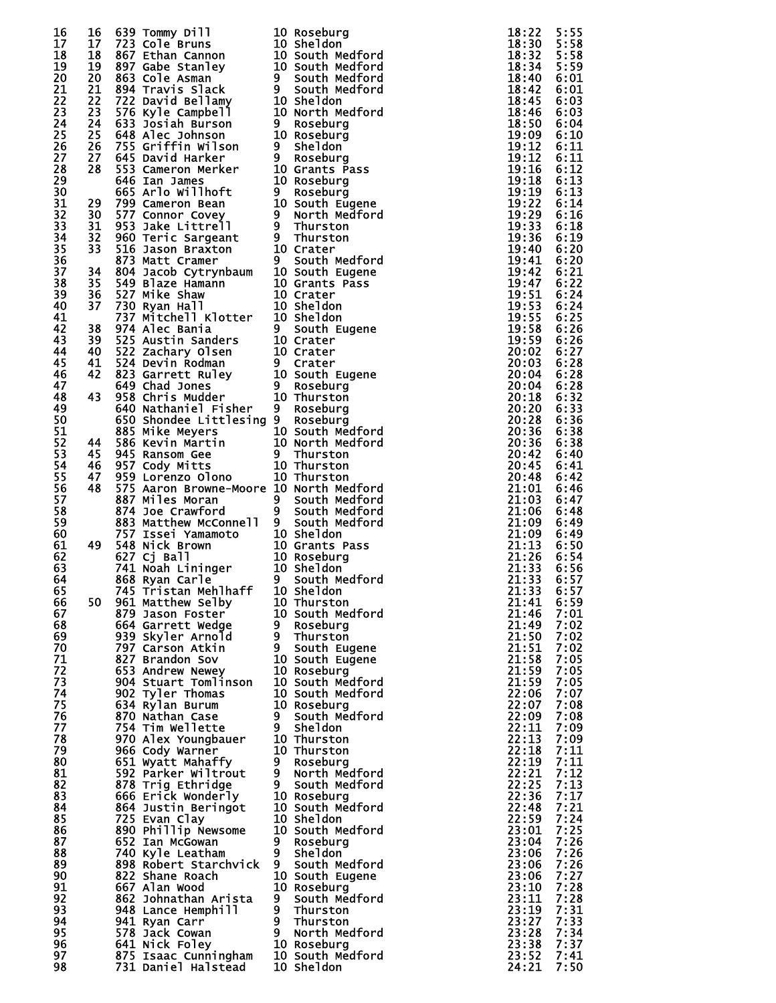| 16 | 16              |                                                                                                                                                                                                                                            | 5 639 Tommy Dill 10 Roseburg<br>7 723 Cole Bruns 10 Sheldon<br>867 Cethan Cannon 10 South Medford<br>867 Cethan Cannon 10 South Medford<br>863 Cole Asman<br>9 South Medford<br>722 David Bellamy 10 Sheldon<br>726 Nyie Campbell<br>833 Josta Burson | 18:22          | 5:55 |
|----|-----------------|--------------------------------------------------------------------------------------------------------------------------------------------------------------------------------------------------------------------------------------------|-------------------------------------------------------------------------------------------------------------------------------------------------------------------------------------------------------------------------------------------------------|----------------|------|
| 17 | 17 <sub>2</sub> |                                                                                                                                                                                                                                            |                                                                                                                                                                                                                                                       | $18:30$ $5:58$ |      |
| 18 | 18              |                                                                                                                                                                                                                                            |                                                                                                                                                                                                                                                       | 18:32          | 5:58 |
| 19 | 19              |                                                                                                                                                                                                                                            |                                                                                                                                                                                                                                                       | 18:34          | 5:59 |
|    |                 |                                                                                                                                                                                                                                            |                                                                                                                                                                                                                                                       | 18:40          |      |
| 20 | 20              |                                                                                                                                                                                                                                            |                                                                                                                                                                                                                                                       |                | 6:01 |
| 21 | 21              |                                                                                                                                                                                                                                            |                                                                                                                                                                                                                                                       | 18:42          | 6:01 |
| 22 | 22              |                                                                                                                                                                                                                                            |                                                                                                                                                                                                                                                       | 18:45          | 6:03 |
| 23 | 23              |                                                                                                                                                                                                                                            |                                                                                                                                                                                                                                                       | 18:46          | 6:03 |
| 24 | 24              |                                                                                                                                                                                                                                            |                                                                                                                                                                                                                                                       | 18:50          | 6:04 |
| 25 | 25              |                                                                                                                                                                                                                                            |                                                                                                                                                                                                                                                       | 19:09          | 6:10 |
| 26 | 26              |                                                                                                                                                                                                                                            |                                                                                                                                                                                                                                                       | 19:12          | 6:11 |
| 27 | 27              |                                                                                                                                                                                                                                            |                                                                                                                                                                                                                                                       | 19:12          | 6:11 |
| 28 | 28              |                                                                                                                                                                                                                                            |                                                                                                                                                                                                                                                       | 19:16          | 6:12 |
| 29 |                 |                                                                                                                                                                                                                                            |                                                                                                                                                                                                                                                       | 19:18          | 6:13 |
| 30 |                 |                                                                                                                                                                                                                                            |                                                                                                                                                                                                                                                       | 19:19          | 6:13 |
| 31 | 29              |                                                                                                                                                                                                                                            |                                                                                                                                                                                                                                                       | 19:22          | 6:14 |
| 32 | 30              |                                                                                                                                                                                                                                            |                                                                                                                                                                                                                                                       | 19:29          | 6:16 |
| 33 | 31              |                                                                                                                                                                                                                                            |                                                                                                                                                                                                                                                       | 19:33          | 6:18 |
| 34 | 32              |                                                                                                                                                                                                                                            |                                                                                                                                                                                                                                                       | 19:36          | 6:19 |
| 35 | 33              |                                                                                                                                                                                                                                            |                                                                                                                                                                                                                                                       | 19:40          | 6:20 |
| 36 |                 |                                                                                                                                                                                                                                            |                                                                                                                                                                                                                                                       | 19:41          | 6:20 |
| 37 | 34              |                                                                                                                                                                                                                                            |                                                                                                                                                                                                                                                       | 19:42          | 6:21 |
| 38 | 35              |                                                                                                                                                                                                                                            |                                                                                                                                                                                                                                                       | 19:47          | 6:22 |
| 39 | 36              |                                                                                                                                                                                                                                            |                                                                                                                                                                                                                                                       | 19:51          | 6:24 |
| 40 | 37              |                                                                                                                                                                                                                                            |                                                                                                                                                                                                                                                       | 19:53          | 6:24 |
| 41 |                 |                                                                                                                                                                                                                                            |                                                                                                                                                                                                                                                       | 19:55          | 6:25 |
| 42 | 38              |                                                                                                                                                                                                                                            |                                                                                                                                                                                                                                                       | 19:58          | 6:26 |
| 43 | 39              |                                                                                                                                                                                                                                            |                                                                                                                                                                                                                                                       | 19:59          | 6:26 |
| 44 | 40              |                                                                                                                                                                                                                                            |                                                                                                                                                                                                                                                       | 20:02          | 6:27 |
| 45 | 41              |                                                                                                                                                                                                                                            |                                                                                                                                                                                                                                                       | 20:03          | 6:28 |
| 46 | 42              |                                                                                                                                                                                                                                            |                                                                                                                                                                                                                                                       | 20:04          | 6:28 |
| 47 |                 |                                                                                                                                                                                                                                            |                                                                                                                                                                                                                                                       | 20:04          | 6:28 |
|    | 43              |                                                                                                                                                                                                                                            |                                                                                                                                                                                                                                                       | 20:18          | 6:32 |
| 48 |                 |                                                                                                                                                                                                                                            |                                                                                                                                                                                                                                                       |                |      |
| 49 |                 |                                                                                                                                                                                                                                            |                                                                                                                                                                                                                                                       | 20:20          | 6:33 |
| 50 |                 |                                                                                                                                                                                                                                            |                                                                                                                                                                                                                                                       | 20:28          | 6:36 |
| 51 |                 |                                                                                                                                                                                                                                            |                                                                                                                                                                                                                                                       | 20:36          | 6:38 |
| 52 | 44              |                                                                                                                                                                                                                                            |                                                                                                                                                                                                                                                       | 20:36          | 6:38 |
| 53 | 45              |                                                                                                                                                                                                                                            |                                                                                                                                                                                                                                                       | 20:42          | 6:40 |
| 54 | 46              |                                                                                                                                                                                                                                            |                                                                                                                                                                                                                                                       | 20:45          | 6:41 |
| 55 | 47              |                                                                                                                                                                                                                                            |                                                                                                                                                                                                                                                       | 20:48          | 6:42 |
| 56 | 48              | 575 Aaron Browne-Moore 10 North Medford                                                                                                                                                                                                    |                                                                                                                                                                                                                                                       | 21:01          | 6:46 |
| 57 |                 |                                                                                                                                                                                                                                            |                                                                                                                                                                                                                                                       | 21:03          | 6:47 |
| 58 |                 |                                                                                                                                                                                                                                            |                                                                                                                                                                                                                                                       | 21:06          | 6:48 |
| 59 |                 |                                                                                                                                                                                                                                            |                                                                                                                                                                                                                                                       | 21:09          | 6:49 |
| 60 |                 | % A Miles Moran and South Medford<br>874 Jules Moran and South Medford<br>874 Jules Moran and South Medford<br>883 Matthew McConnell 9 South Medford<br>757 Issei Yamamoto 10 Sheldon<br>548 Nick Brown 10 Grants Pass<br>627 Cj Ball 10 R |                                                                                                                                                                                                                                                       | 21:09          | 6:49 |
| 61 | 49              | 548 Nick Brown                                                                                                                                                                                                                             |                                                                                                                                                                                                                                                       | 21:13          | 6:50 |
| 62 |                 |                                                                                                                                                                                                                                            |                                                                                                                                                                                                                                                       | 21:26          | 6:54 |
| 63 |                 |                                                                                                                                                                                                                                            |                                                                                                                                                                                                                                                       | 21:33          | 6:56 |
| 64 |                 |                                                                                                                                                                                                                                            |                                                                                                                                                                                                                                                       | 21:33          | 6:57 |
| 65 |                 |                                                                                                                                                                                                                                            |                                                                                                                                                                                                                                                       | $21:33$ 6:57   |      |
| 66 | 50              | 961 Matthew Selby                                                                                                                                                                                                                          | 10 Thurston                                                                                                                                                                                                                                           | 21:41          | 6:59 |
| 67 |                 | 961 Matthew Selby<br>879 Jason Foster 10 South Medford<br>664 Garrett Wedge 9 Roseburg<br>939 Skyler Arnold 9 Thurston<br>797 Carson Atkin 9 South Eugene<br>827 Brandon Sov 10 South Eugene<br>827 Brandon Sov 10 South Eugene            |                                                                                                                                                                                                                                                       | 21:46 7:01     |      |
| 68 |                 |                                                                                                                                                                                                                                            |                                                                                                                                                                                                                                                       | 21:49          | 7:02 |
| 69 |                 |                                                                                                                                                                                                                                            |                                                                                                                                                                                                                                                       | 21:50          | 7:02 |
| 70 |                 |                                                                                                                                                                                                                                            |                                                                                                                                                                                                                                                       | 21:51          | 7:02 |
| 71 |                 |                                                                                                                                                                                                                                            |                                                                                                                                                                                                                                                       | 21:58          | 7:05 |
| 72 |                 |                                                                                                                                                                                                                                            |                                                                                                                                                                                                                                                       | 21:59          | 7:05 |
| 73 |                 |                                                                                                                                                                                                                                            | 10 South Medford                                                                                                                                                                                                                                      | 21:59          | 7:05 |
| 74 |                 |                                                                                                                                                                                                                                            | 10 South Medford                                                                                                                                                                                                                                      | 22:06          | 7:07 |
| 75 |                 | $797$ Carson A<br>827 Brandon Sov<br>653 Andrew Newey 10 Rosebury<br>904 Stuart Tomlinson 10 South Med<br>202 Tvler Thomas 10 South Med<br>10 Roseburg<br>202 South Med<br>202 South Med                                                   |                                                                                                                                                                                                                                                       | 22:07          | 7:08 |
| 76 |                 | 634 Ryian burum<br>870 Nathan Case 9 South Med<br>754 Tim Wellette 9 Sheldon<br>970 Alex Youngbauer 10 Thurston                                                                                                                            | 9 South Medford                                                                                                                                                                                                                                       | 22:09          | 7:08 |
| 77 |                 |                                                                                                                                                                                                                                            |                                                                                                                                                                                                                                                       | 22:11          | 7:09 |
| 78 |                 |                                                                                                                                                                                                                                            |                                                                                                                                                                                                                                                       | 22:13          | 7:09 |
| 79 |                 |                                                                                                                                                                                                                                            |                                                                                                                                                                                                                                                       | 22:18          | 7:11 |
| 80 |                 | 551 Wyatt Mahaffy<br>592 Parker Wiltrout                                                                                                                                                                                                   | 9 Roseburg                                                                                                                                                                                                                                            | 22:19          | 7:11 |
| 81 |                 |                                                                                                                                                                                                                                            | 9 North Medford                                                                                                                                                                                                                                       | 22:21          | 7:12 |
| 82 |                 | 878 Trig Ethridge                                                                                                                                                                                                                          | 9 South Medford                                                                                                                                                                                                                                       | 22:25          | 7:13 |
| 83 |                 | o/o Trig Ethridge<br>666 Erick Wonderly                                                                                                                                                                                                    | 10 Roseburg                                                                                                                                                                                                                                           | 22:36          | 7:17 |
| 84 |                 | 864 Justin Beringot                                                                                                                                                                                                                        | 10 South Medford                                                                                                                                                                                                                                      | 22:48          | 7:21 |
| 85 |                 | 725 Evan Clay                                                                                                                                                                                                                              | 10 Sheldon                                                                                                                                                                                                                                            | 22:59          | 7:24 |
| 86 |                 | 890 Phillip Newsome                                                                                                                                                                                                                        | 10 South Medford                                                                                                                                                                                                                                      | 23:01          | 7:25 |
| 87 |                 | 652 Ian McGowan                                                                                                                                                                                                                            | 9 Roseburg                                                                                                                                                                                                                                            | 23:04          | 7:26 |
| 88 |                 |                                                                                                                                                                                                                                            | 9 Sheldon                                                                                                                                                                                                                                             | 23:06          | 7:26 |
| 89 |                 | 740 Kyle Leatham                                                                                                                                                                                                                           | 9 South Medford                                                                                                                                                                                                                                       | 23:06          | 7:26 |
| 90 |                 | 898 Robert Starchvick<br>822 Shane Roach                                                                                                                                                                                                   |                                                                                                                                                                                                                                                       | 23:06          | 7:27 |
| 91 |                 |                                                                                                                                                                                                                                            | 10 South Eugene                                                                                                                                                                                                                                       | 23:10          | 7:28 |
| 92 |                 | 667 Alan Wood<br>862 Johnathan Arista                                                                                                                                                                                                      | 10 Roseburg                                                                                                                                                                                                                                           | 23:11          | 7:28 |
| 93 |                 |                                                                                                                                                                                                                                            | 9 South Medford<br>9 Thurston                                                                                                                                                                                                                         | 23:19          | 7:31 |
|    |                 | 948 Lance Hemphill                                                                                                                                                                                                                         | 9 Thurston                                                                                                                                                                                                                                            | 23:27          | 7:33 |
| 94 |                 | 941 Ryan Carr                                                                                                                                                                                                                              |                                                                                                                                                                                                                                                       |                | 7:34 |
| 95 |                 | 578 Jack Cowan<br>641 Nick Foley<br>875 Isaac Cunningham<br>875 Isaac Cunningham<br>731 Daniel Wales Joseph Medford                                                                                                                        |                                                                                                                                                                                                                                                       | 23:28          |      |
| 96 |                 |                                                                                                                                                                                                                                            |                                                                                                                                                                                                                                                       | 23:38          | 7:37 |
| 97 |                 |                                                                                                                                                                                                                                            |                                                                                                                                                                                                                                                       | 23:52          | 7:41 |
| 98 |                 | 731 Daniel Halstead                                                                                                                                                                                                                        | 10 Sheldon                                                                                                                                                                                                                                            | 24:21          | 7:50 |
|    |                 |                                                                                                                                                                                                                                            |                                                                                                                                                                                                                                                       |                |      |

| $\bf{0}$                             | Roseburg                                     |
|--------------------------------------|----------------------------------------------|
| $\overline{\mathbf{0}}$              | Sheldon                                      |
| 0.                                   | South Medford                                |
| $\bf{0}$                             |                                              |
| I.                                   | South Medfor <mark>d</mark><br>South Medford |
| I.                                   | South Medford                                |
| 0.                                   | <b>Sheldon</b>                               |
| $\bf{0}$                             | North Medford                                |
| L                                    | Roseburg                                     |
| 0.                                   | Roseburg                                     |
| L                                    | Sheldon                                      |
| I.                                   | Roseburg                                     |
| $\bf{0}$                             | Grants Pass                                  |
| $\bf{0}$                             | Roseburg                                     |
| I.                                   | Roseburg                                     |
| $\overline{\mathbf{0}}$              |                                              |
| I.                                   | South Eugene<br>North Medford                |
| I.                                   |                                              |
| j.                                   | Thurston<br>Thurston                         |
| 0.                                   | Crater                                       |
| I.                                   | South Medford                                |
| $\bf{0}$                             | South Eugene                                 |
| 0.                                   | Grants Pass                                  |
| $\bf{0}$                             | Crater                                       |
| 0.                                   | Sheldon                                      |
| $\bf{0}$                             | Sheldon                                      |
| I.                                   | South Eugene                                 |
| 0.                                   |                                              |
|                                      | Crater<br>Crater                             |
| 0.                                   |                                              |
| L                                    | Crater                                       |
| 0.                                   | South Eugene                                 |
| I.                                   | Roseburg                                     |
| $\bf{0}$                             | Thurston                                     |
| I.                                   | Roseburg                                     |
| I.                                   | Roseburg                                     |
| $\frac{0}{0}$                        | South Medford                                |
| 0.                                   | North Medford                                |
| L                                    | Thurston                                     |
| 0.                                   | Thurston                                     |
| 0.<br>0.                             | Thurston                                     |
|                                      | North Medford                                |
| ).                                   | South Medford<br>South Medford               |
| I.                                   |                                              |
| I.                                   | South Medford                                |
| 0.                                   | Sheldon                                      |
| $\bf{0}$                             | Grants Pass                                  |
| 0.                                   | Roseburg                                     |
| 0.                                   | Sheldon                                      |
| I.                                   | South Medford                                |
| $\begin{matrix} 0 \\ 0 \end{matrix}$ | She I don                                    |
|                                      | Thurston                                     |
| $\mathbf{0}$                         | South Medford                                |
| I.                                   | Roseburg                                     |
| I.                                   | Thurston                                     |
| I                                    | South Eugene                                 |
| 0.                                   | South Eugene                                 |
| 0.                                   | Roseburg                                     |
| $\bf{0}$                             | South Medford                                |
| 0.                                   | South Medford                                |
| 0.                                   | Roseburg                                     |
| I.                                   | South Medford                                |
| I.                                   | Sheldon                                      |
| 0.                                   | Thurston                                     |
| 0.                                   | Thurston                                     |
| I.                                   | Roseburg                                     |
| I.                                   | North Medford                                |
| I                                    | South<br>Medford                             |
| 0.                                   | Roseburg                                     |
| 0.                                   | South Medford                                |
|                                      | Sheldon                                      |
| .0<br>.0                             | South Medford                                |
| I                                    | Roseburg                                     |
| I.                                   | Sheldon                                      |
| I.                                   | South Medford                                |
| 0.                                   | South<br>Eugene                              |
| 0.                                   | Roseburg                                     |
| I                                    | South Medford                                |
| I                                    | Thurston                                     |
| I.                                   | Thurston                                     |
| I                                    | North Medford                                |
| 0.                                   | Roseburg                                     |
| $\overline{0}$                       | South Medford                                |
| .0                                   | Sheldon                                      |
|                                      |                                              |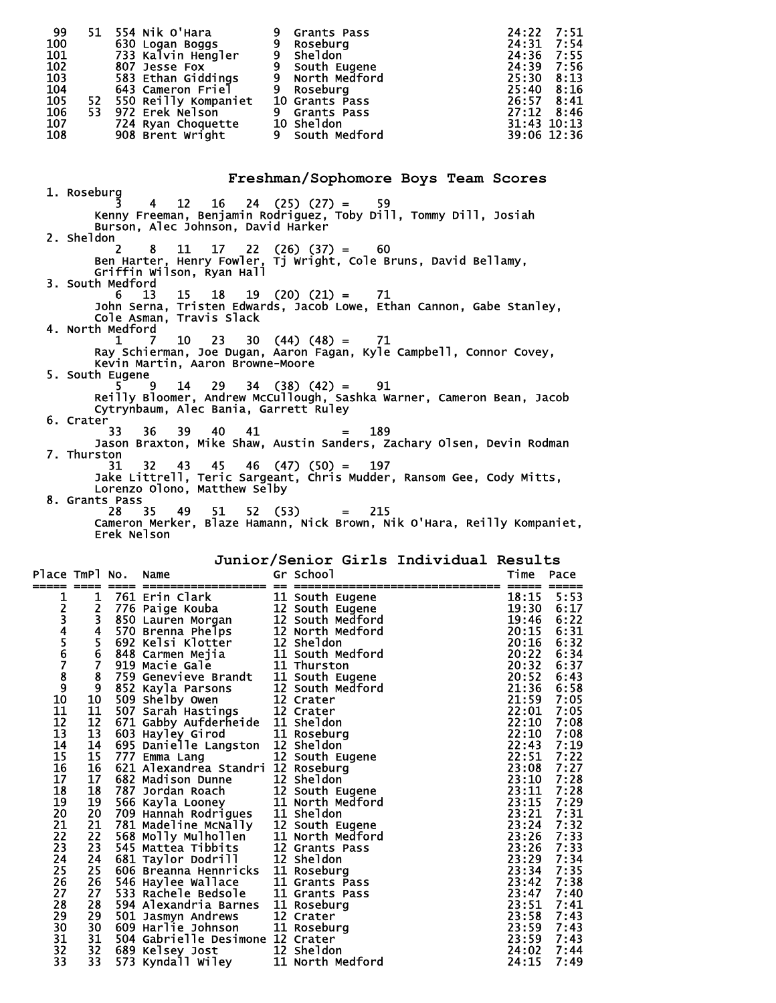| 99  | 51  | 554 Nik O'Hara          | 9 | <b>Grants Pass</b> | 24:22 7:51     |
|-----|-----|-------------------------|---|--------------------|----------------|
| 100 |     | 630 Logan Boggs         | 9 | Roseburg           | 24:31 7:54     |
| 101 |     | 733 Kalvin Hengler      |   | sheldon            | 24:36 7:55     |
| 102 |     | 807 Jesse Fox           |   | South Eugene       | 24:39 7:56     |
| 103 |     | 583 Ethan Giddings      |   | North Medford      | $25:30$ $8:13$ |
| 104 |     | 643 Cameron Friel       | 9 | Roseburg           | $25:40$ 8:16   |
| 105 |     | 52 550 Reilly Kompaniet |   | 10 Grants Pass     | 26:57 8:41     |
| 106 | 53. | 972 Erek Nelson         |   | 9 Grants Pass      | $27:12$ 8:46   |
| 107 |     | 724 Ryan Choquette      |   | 10 Sheldon         | 31:43 10:13    |
| 108 |     | 908 Brent Wright        |   | 9 South Medford    | 39:06 12:36    |
|     |     |                         |   |                    |                |
|     |     |                         |   |                    |                |

 1. Roseburg 3 4 12 16 24 (25) (27) = 59 Kenny Freeman, Benjamin Rodriguez, Toby Dill, Tommy Dill, Josiah Burson, Alec Johnson, David Harker 2. Sheldon 2 8 11 17 22 (26) (37) = 60 Ben Harter, Henry Fowler, Tj Wright, Cole Bruns, David Bellamy, Griffin Wilson, Ryan Hall 3. South Medford 6 13 15 18 19 (20) (21) = 71 John Serna, Tristen Edwards, Jacob Lowe, Ethan Cannon, Gabe Stanley, Cole Asman, Travis Slack 4. North Medford 1 7 10 23 30 (44) (48) = 71 Ray Schierman, Joe Dugan, Aaron Fagan, Kyle Campbell, Connor Covey, Kevin Martin, Aaron Browne-Moore 5. South Eugene 5 9 14 29 34 (38) (42) = 91 Reilly Bloomer, Andrew McCullough, Sashka Warner, Cameron Bean, Jacob Cytrynbaum, Alec Bania, Garrett Ruley 6. Crater 33 36 39 40 41 = 189 Jason Braxton, Mike Shaw, Austin Sanders, Zachary Olsen, Devin Rodman 7. Thurston 31 32 43 45 46 (47) (50) = 197 Jake Littrell, Teric Sargeant, Chris Mudder, Ransom Gee, Cody Mitts, Lorenzo Olono, Matthew Selby 8. Grants Pass 28 35 49 51 52 (53) = 215 Cameron Merker, Blaze Hamann, Nick Brown, Nik O'Hara, Reilly Kompaniet, Erek Nelson

**Junior/Senior Girls Individual Results** 

**Freshman/Sophomore Boys Team Scores**

| Place TmPl No.<br>=====    |                         | ==== | Name                                                                                                                                                                        | Gr School                            | Time  | Pace |
|----------------------------|-------------------------|------|-----------------------------------------------------------------------------------------------------------------------------------------------------------------------------|--------------------------------------|-------|------|
| 1                          | 1                       |      | 761 Erin Clark                                                                                                                                                              | 11 South Eugene                      | 18:15 | 5:53 |
|                            | $\overline{\mathbf{c}}$ |      | 776 Paige Kouba                                                                                                                                                             | 12 South Eugene                      | 19:30 | 6:17 |
|                            | 3                       |      | 850 Lauren Morgan                                                                                                                                                           |                                      | 19:46 | 6:22 |
|                            | $\overline{\mathbf{4}}$ |      | 570 Brenna Phelps                                                                                                                                                           | 12 South Medford<br>12 North Medford | 20:15 | 6:31 |
|                            |                         |      | 692 Kelsi Klotter                                                                                                                                                           | 12 Sheldon                           | 20:16 | 6:32 |
|                            | $\frac{5}{6}$           |      | 848 Carmen Mejia                                                                                                                                                            | 11 South Medford                     | 20:22 | 6:34 |
| 23456789                   | $\overline{\mathbf{z}}$ |      | 919 Macie Gale                                                                                                                                                              | 11 Thurston                          | 20:32 | 6:37 |
|                            | 8                       |      | 759 Genevieve Brandt                                                                                                                                                        | 11 South Eugene                      | 20:52 | 6:43 |
|                            | 9                       |      | 852 Kayla Parsons                                                                                                                                                           | 12 South Medford                     | 21:36 | 6:58 |
| 10                         | 10                      |      | 509 Shelby Owen                                                                                                                                                             | 12 Crater                            | 21:59 | 7:05 |
| 11                         | 11                      |      | 507 Sarah Hastings                                                                                                                                                          | 12 Crater                            | 22:01 | 7:05 |
| 12                         | 12                      |      | 671 Gabby Aufderheide 11 Sheldon                                                                                                                                            |                                      | 22:10 | 7:08 |
| 13                         | 13                      |      | 603 Hayley Girod                                                                                                                                                            | 11 Roseburg                          | 22:10 | 7:08 |
| 14                         | 14                      |      | 695 Danielle Langston 12 Sheldon                                                                                                                                            |                                      | 22:43 | 7:19 |
| 15                         | 15                      |      | 777 Emma Lang                                                                                                                                                               | 12 South Eugene                      | 22:51 | 7:22 |
| 16                         | 16                      |      | 621 Alexandrea Standri 12 Roseburg                                                                                                                                          |                                      | 23:08 | 7:27 |
| 17                         | 17                      |      | 682 Madison Dunne                                                                                                                                                           | 12 Sheldon                           | 23:10 | 7:28 |
| 18                         | 18                      |      | ooz mauıson Dunne<br>787 Jordan Roach<br>566 المتاح                                                                                                                         | 12 South Eugene                      | 23:11 | 7:28 |
| 19                         | 19                      |      | 566 Kayla Looney<br>709 Hannah Rodrigues 11 Sheldon<br>781 Madeline McNally 12 South Eugene<br>568 Molly Mulhollen 11 North Medforc<br>568 Molly Mulhollen 11 North Medforc | 11 North Medford                     | 23:15 | 7:29 |
| 20                         | 20                      |      |                                                                                                                                                                             |                                      | 23:21 | 7:31 |
| 21                         | 21                      |      |                                                                                                                                                                             |                                      | 23:24 | 7:32 |
| $\overline{2}\overline{2}$ | 22                      |      |                                                                                                                                                                             | 11 North Medford                     | 23:26 | 7:33 |
| 23                         | 23                      |      | 545 Mattea Tibbits 12 Grants  <br>681 Taylor Dodrill 12 Sheldon                                                                                                             | 12 Grants Pass                       | 23:26 | 7:33 |
| 24                         | 24                      |      |                                                                                                                                                                             |                                      | 23:29 | 7:34 |
| 25                         | 25                      |      | 606 Breanna Hennricks                                                                                                                                                       | 11 Roseburg                          | 23:34 | 7:35 |
| 26                         | 26                      |      | 546 Haylee Wallace                                                                                                                                                          | 11 Grants Pass                       | 23:42 | 7:38 |
| 27                         | 27                      |      | 533 Rachele Bedsole                                                                                                                                                         | 11 Grants Pass                       | 23:47 | 7:40 |
| 28                         | 28                      |      | 594 Alexandria Barnes                                                                                                                                                       | 11 Roseburg                          | 23:51 | 7:41 |
| 29                         | 29                      |      | 501 Jasmyn Andrews                                                                                                                                                          | 12 Crater                            | 23:58 | 7:43 |
| 30                         | 30                      |      | 609 Harlie Johnson                                                                                                                                                          | 11 Roseburg                          | 23:59 | 7:43 |
| 31                         | 31                      |      | 504 Gabrielle Desimone 12 Crater                                                                                                                                            |                                      | 23:59 | 7:43 |
| 32                         | 32                      |      | 689 Kelsey Jost                                                                                                                                                             | 12 Sheldon                           | 24:02 | 7:44 |
| 33                         | 33                      |      | 573 Kyndall Wiley                                                                                                                                                           | 11 North Medford                     | 24:15 | 7:49 |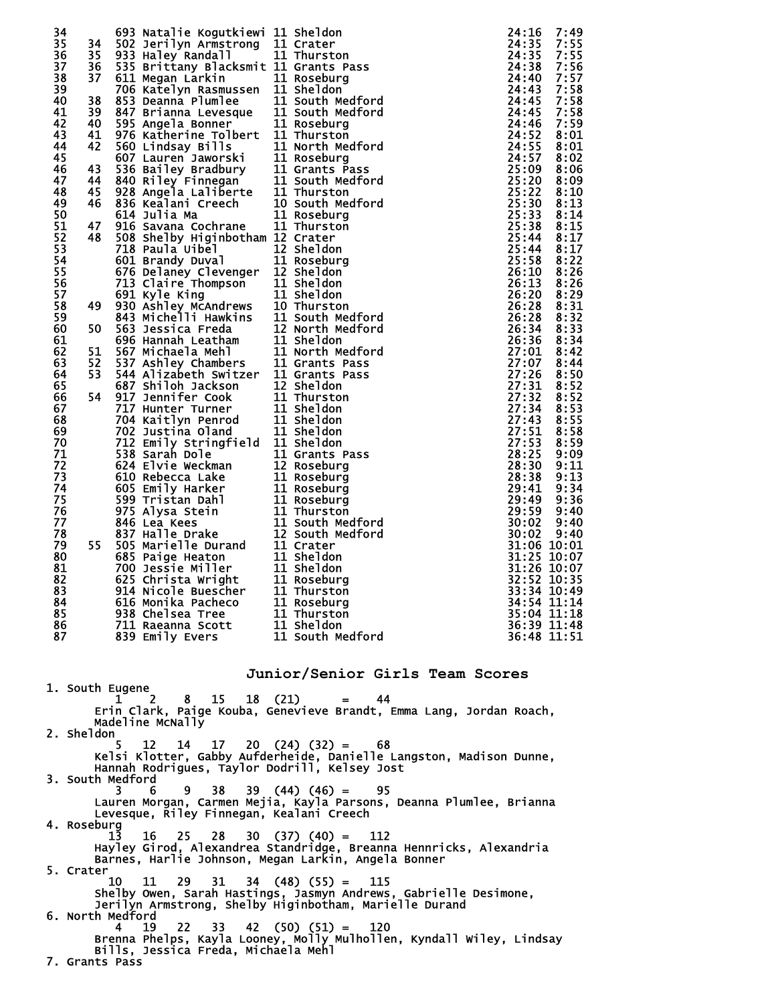| 82<br>32:52 10:35<br>914 Nicole Buescher<br>83<br>11 Thurston<br>33:34 10:49<br>84<br>11 Roseburg<br>616 Monika Pacheco<br>34:54 11:14<br>85<br>938 Chelsea Tree<br>11 Thurston<br>35:04 11:18<br>11 Sheldon<br>86<br>711 Raeanna Scott<br>36:39 11:48<br>11 South Medford<br>839 Emily Evers | 34<br>35<br>36<br>37<br>38<br>39<br>40<br>41<br>42<br>43<br>44<br>45<br>46<br>47<br>48<br>49<br>50<br>51<br>52<br>53<br>54<br>55<br>56<br>57<br>58<br>59<br>60<br>61<br>62<br>63<br>64<br>65<br>66<br>67<br>68<br>69<br>70<br>71<br>72<br>73<br>74<br>75<br>76<br>77<br>78<br>79<br>80<br>81 | 34<br>35<br>36<br>37<br>38<br>39<br>40<br>41<br>42<br>43<br>44<br>45<br>46<br>47<br>48<br>49<br>50<br>51<br>52<br>53<br>54<br>55 |    | 693 Natalie Kogutkiewi 11 Sheldon<br>502 Jerilyn Armstrong 11 Crater<br>933 Haley Randall<br>535 Brittany Blacksmit 11 Grants Pass<br>611 Megan Larkin<br>706 Katelyn Rasmussen 11 Sheldon<br>853 Deanna Plumlee<br>847 Brianna Levesque 11 South Med<br>595 Angela Bonner 11 Roseburg<br>976 Katherine Tolbert 11 Thurston<br>560 Lindsay Bills<br>11 North Medford<br>607 Lauren Jaworski<br>536 Bailey Bradbury<br>536 Bailey Bradbury<br>11 Grants Pass<br>840 Riley Finnegan<br>928 Angela Laliberte<br>11 Thurston<br>928 Angela Laliberte<br>11 Thurston<br>836 Kealani Creech<br>614 Julia Ma<br>916 Savana Cochrane<br>508 Shelby Higinbotham 12 Crater<br>718 Paula Uibel<br>601 Brandy Duval<br>676 Delaney Clevenger 12 Sheldon<br>o/o Delaney Clevenger<br>713 Claire Thompson<br>713 Claire Thompson<br>813 Ashley McAndrews<br>843 Michelli Hawkins<br>843 Michelli Hawkins<br>863 Jessica Freda<br>866 Hannah Leatham<br>866 Hannah Leatham<br>867 Michaela Mehl<br>87 Ashley Cha<br>544 Alizabeth Switzer 11 Grants Pass<br>687 Shiloh Jackson 12 Sheldon<br>917 Jennifer Cook 11 Thurston<br>717 Hunter Turner 11 Sheldon<br>702 Justina Oland 11 Sheldon<br>702 Justina Oland 11 Sheldon<br>702 Justina Oland 11 Sheldon<br>71 | 11 Thurston<br>11 Roseburg<br>11 South Medford<br>11 South Medford<br>10 South Medford<br>11 Roseburg<br>11 Thurston<br>12 Sheldon<br>11 Roseburr<br>11 Roseburg<br>11 South Medford<br>12 North Medford<br>11 North Medford | 24:16<br>7:49<br>24:35<br>7:55<br>24:35<br>7:55<br>24:38<br>7:56<br>24:40<br>7:57<br>7:58<br>24:43<br>24:43<br>24:45<br>7:58<br>24:45<br>7:58<br>7:59<br>24:46<br>24:52<br>8:01<br>24:55<br>8:01<br>24:57<br>8:02<br>25:09<br>8:06<br>25:20<br>8:09<br>25:22<br>8:10<br>25:30<br>8:13<br>25:33<br>8:14<br>25:38<br>8:15<br>25:44<br>8:17<br>25:44<br>8:17<br>25:58<br>8:22<br>26:10<br>8:26<br>26:13<br>8:26<br>26:20<br>8:29<br>8:31<br>26:28<br>8:32<br>26:28<br>26:34 8:33<br>26:36<br>8:34<br>27:01<br>8:42<br>27:07<br>8:44<br>27:26<br>8:50<br>27:31<br>8:52<br>27:32<br>8:52<br>27:34<br>8:53<br>27:43<br>8:55<br>27:51<br>8:58<br>27:53<br>8:59<br>28:25<br>9:09<br>28:30<br>9:11<br>28:38<br>9:13<br>29:41<br>9:34<br>29:49<br>9:36<br>29:59<br>9:40<br>30:02<br>9:40<br>30:02<br>9:40<br>31:06 10:01<br>31:25 10:07<br>31:26 10:07 |
|-----------------------------------------------------------------------------------------------------------------------------------------------------------------------------------------------------------------------------------------------------------------------------------------------|----------------------------------------------------------------------------------------------------------------------------------------------------------------------------------------------------------------------------------------------------------------------------------------------|----------------------------------------------------------------------------------------------------------------------------------|----|---------------------------------------------------------------------------------------------------------------------------------------------------------------------------------------------------------------------------------------------------------------------------------------------------------------------------------------------------------------------------------------------------------------------------------------------------------------------------------------------------------------------------------------------------------------------------------------------------------------------------------------------------------------------------------------------------------------------------------------------------------------------------------------------------------------------------------------------------------------------------------------------------------------------------------------------------------------------------------------------------------------------------------------------------------------------------------------------------------------------------------------------------------------------------------------------------------------------------------------------------|------------------------------------------------------------------------------------------------------------------------------------------------------------------------------------------------------------------------------|----------------------------------------------------------------------------------------------------------------------------------------------------------------------------------------------------------------------------------------------------------------------------------------------------------------------------------------------------------------------------------------------------------------------------------------------------------------------------------------------------------------------------------------------------------------------------------------------------------------------------------------------------------------------------------------------------------------------------------------------------------------------------------------------------------------------------------------------|
|                                                                                                                                                                                                                                                                                               |                                                                                                                                                                                                                                                                                              |                                                                                                                                  |    |                                                                                                                                                                                                                                                                                                                                                                                                                                                                                                                                                                                                                                                                                                                                                                                                                                                                                                                                                                                                                                                                                                                                                                                                                                                   |                                                                                                                                                                                                                              |                                                                                                                                                                                                                                                                                                                                                                                                                                                                                                                                                                                                                                                                                                                                                                                                                                              |
|                                                                                                                                                                                                                                                                                               | 87                                                                                                                                                                                                                                                                                           |                                                                                                                                  |    |                                                                                                                                                                                                                                                                                                                                                                                                                                                                                                                                                                                                                                                                                                                                                                                                                                                                                                                                                                                                                                                                                                                                                                                                                                                   |                                                                                                                                                                                                                              | 36:48 11:51                                                                                                                                                                                                                                                                                                                                                                                                                                                                                                                                                                                                                                                                                                                                                                                                                                  |
|                                                                                                                                                                                                                                                                                               |                                                                                                                                                                                                                                                                                              |                                                                                                                                  |    |                                                                                                                                                                                                                                                                                                                                                                                                                                                                                                                                                                                                                                                                                                                                                                                                                                                                                                                                                                                                                                                                                                                                                                                                                                                   |                                                                                                                                                                                                                              |                                                                                                                                                                                                                                                                                                                                                                                                                                                                                                                                                                                                                                                                                                                                                                                                                                              |
| Junior/Senior Girls Team Scores                                                                                                                                                                                                                                                               |                                                                                                                                                                                                                                                                                              |                                                                                                                                  | ı. | 2<br>8                                                                                                                                                                                                                                                                                                                                                                                                                                                                                                                                                                                                                                                                                                                                                                                                                                                                                                                                                                                                                                                                                                                                                                                                                                            | 44<br>$=$                                                                                                                                                                                                                    |                                                                                                                                                                                                                                                                                                                                                                                                                                                                                                                                                                                                                                                                                                                                                                                                                                              |
| 1. South Eugene<br>15 18 (21)<br>Erin Clark, Paige Kouba, Genevieve Brandt, Emma Lang, Jordan Roach,                                                                                                                                                                                          |                                                                                                                                                                                                                                                                                              |                                                                                                                                  | 5. | 12<br>14                                                                                                                                                                                                                                                                                                                                                                                                                                                                                                                                                                                                                                                                                                                                                                                                                                                                                                                                                                                                                                                                                                                                                                                                                                          |                                                                                                                                                                                                                              |                                                                                                                                                                                                                                                                                                                                                                                                                                                                                                                                                                                                                                                                                                                                                                                                                                              |
| Madeline McNally<br>2. Sheldon<br>$17 \t20 \t(24) \t(32) = 68$                                                                                                                                                                                                                                |                                                                                                                                                                                                                                                                                              |                                                                                                                                  |    |                                                                                                                                                                                                                                                                                                                                                                                                                                                                                                                                                                                                                                                                                                                                                                                                                                                                                                                                                                                                                                                                                                                                                                                                                                                   |                                                                                                                                                                                                                              |                                                                                                                                                                                                                                                                                                                                                                                                                                                                                                                                                                                                                                                                                                                                                                                                                                              |
| Kelsi Klotter, Gabby Aufderheide, Danielle Langston, Madison Dunne,<br>Hannah Rodrigues, Taylor Dodrill, Kelsey Jost                                                                                                                                                                          |                                                                                                                                                                                                                                                                                              |                                                                                                                                  | 3. | 38<br>9<br>6.                                                                                                                                                                                                                                                                                                                                                                                                                                                                                                                                                                                                                                                                                                                                                                                                                                                                                                                                                                                                                                                                                                                                                                                                                                     |                                                                                                                                                                                                                              |                                                                                                                                                                                                                                                                                                                                                                                                                                                                                                                                                                                                                                                                                                                                                                                                                                              |
| 3. South Medford<br>$39(44)(46) = 95$<br>Lauren Morgan, Carmen Mejia, Kayla Parsons, Deanna Plumlee, Brianna                                                                                                                                                                                  |                                                                                                                                                                                                                                                                                              |                                                                                                                                  |    | 16                                                                                                                                                                                                                                                                                                                                                                                                                                                                                                                                                                                                                                                                                                                                                                                                                                                                                                                                                                                                                                                                                                                                                                                                                                                |                                                                                                                                                                                                                              |                                                                                                                                                                                                                                                                                                                                                                                                                                                                                                                                                                                                                                                                                                                                                                                                                                              |
| Levesque, Riley Finnegan, Kealani Creech<br>4. Roseburg                                                                                                                                                                                                                                       |                                                                                                                                                                                                                                                                                              |                                                                                                                                  |    |                                                                                                                                                                                                                                                                                                                                                                                                                                                                                                                                                                                                                                                                                                                                                                                                                                                                                                                                                                                                                                                                                                                                                                                                                                                   |                                                                                                                                                                                                                              |                                                                                                                                                                                                                                                                                                                                                                                                                                                                                                                                                                                                                                                                                                                                                                                                                                              |
| $1\overline{3}$<br>$25$ $28$ $30$ $(37)$ $(40)$ = 112<br>Hayley Girod, Alexandrea Standridge, Breanna Hennricks, Alexandria<br>Barnes, Harlie Johnson, Megan Larkin, Angela Bonner                                                                                                            |                                                                                                                                                                                                                                                                                              |                                                                                                                                  |    | 11                                                                                                                                                                                                                                                                                                                                                                                                                                                                                                                                                                                                                                                                                                                                                                                                                                                                                                                                                                                                                                                                                                                                                                                                                                                |                                                                                                                                                                                                                              |                                                                                                                                                                                                                                                                                                                                                                                                                                                                                                                                                                                                                                                                                                                                                                                                                                              |
| 5. Crater<br>$29$ 31 34 (48) (55) = 115<br>10<br>Shelby Owen, Sarah Hastings, Jasmyn Andrews, Gabrielle Desimone,                                                                                                                                                                             | 6. North Medford                                                                                                                                                                                                                                                                             |                                                                                                                                  |    |                                                                                                                                                                                                                                                                                                                                                                                                                                                                                                                                                                                                                                                                                                                                                                                                                                                                                                                                                                                                                                                                                                                                                                                                                                                   | Jerilyn Armstrong, Shelby Higinbotham, Marielle Durand                                                                                                                                                                       |                                                                                                                                                                                                                                                                                                                                                                                                                                                                                                                                                                                                                                                                                                                                                                                                                                              |

 4 19 22 33 42 (50) (51) = 120 Brenna Phelps, Kayla Looney, Molly Mulhollen, Kyndall Wiley, Lindsay Bills, Jessica Freda, Michaela Mehl 7. Grants Pass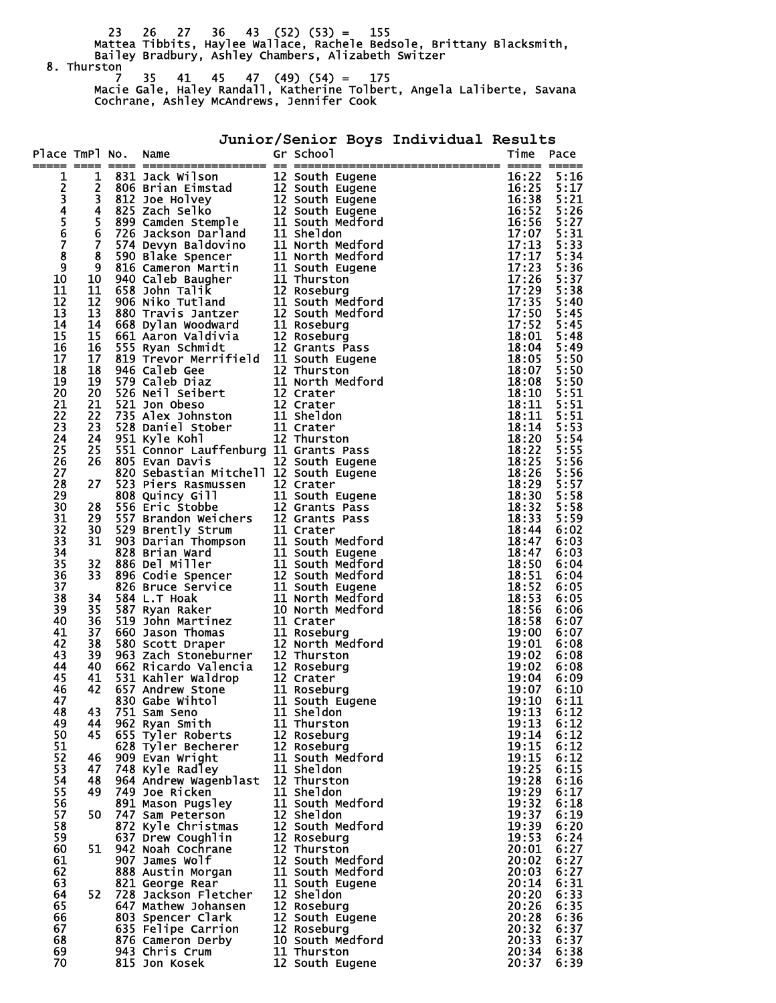23 26 27 36 43 (52) (53) = 155 Mattea Tibbits, Haylee Wallace, Rachele Bedsole, Brittany Blacksmith, Bailey Bradbury, Ashley Chambers, Alizabeth Switzer 8. Thurston

 7 35 41 45 47 (49) (54) = 175 Macie Gale, Haley Randall, Katherine Tolbert, Angela Laliberte, Savana Cochrane, Ashley McAndrews, Jennifer Cook

## **Junior/Senior Boys Individual Results**

| Place TmPl No.  |                         | Name                                                                                                                                                                                                                                       | Gr School                      | Time                        | Pace         |
|-----------------|-------------------------|--------------------------------------------------------------------------------------------------------------------------------------------------------------------------------------------------------------------------------------------|--------------------------------|-----------------------------|--------------|
|                 |                         |                                                                                                                                                                                                                                            |                                |                             |              |
| 1               | 1<br>2                  |                                                                                                                                                                                                                                            |                                | 16:22<br>16:25              | 5:16<br>5:17 |
|                 | 3                       |                                                                                                                                                                                                                                            |                                | 16:38                       | 5:21         |
|                 | 4                       |                                                                                                                                                                                                                                            |                                | 16:52                       | 5:26         |
| 234567          | 5                       |                                                                                                                                                                                                                                            |                                | 16:56                       | 5:27         |
|                 | 6                       |                                                                                                                                                                                                                                            |                                | 17:07                       | 5:31         |
|                 | $\overline{\mathbf{z}}$ |                                                                                                                                                                                                                                            |                                | 17:13                       | 5:33         |
| 8               | 8                       |                                                                                                                                                                                                                                            |                                | 17:17                       | 5:34         |
| 9               | 9                       |                                                                                                                                                                                                                                            |                                | 17:23                       | 5:36         |
| 10              | 10                      |                                                                                                                                                                                                                                            |                                | 17:26                       | 5:37         |
| 11<br>12        | 11<br>12                |                                                                                                                                                                                                                                            |                                | 17:29<br>17:35              | 5:38<br>5:40 |
| 13              | 13                      |                                                                                                                                                                                                                                            |                                | 17:50                       | 5:45         |
| 14              | 14                      |                                                                                                                                                                                                                                            |                                | 17:52                       | 5:45         |
| 15              | 15                      |                                                                                                                                                                                                                                            |                                | 18:01                       | 5:48         |
| 16              | 16                      |                                                                                                                                                                                                                                            |                                | 18:04                       | 5:49         |
| 17              | 17                      |                                                                                                                                                                                                                                            |                                | 18:05                       | 5:50         |
| 18              | 18                      |                                                                                                                                                                                                                                            |                                | 18:07                       | 5:50         |
| 19              | 19                      |                                                                                                                                                                                                                                            |                                | 18:08                       | 5:50         |
| 20              | 20                      |                                                                                                                                                                                                                                            |                                | 18:10                       | 5:51         |
| 21              | 21<br>22                |                                                                                                                                                                                                                                            |                                | 18:11<br>18:11              | 5:51<br>5:51 |
| $\frac{2}{2}$   | 23                      |                                                                                                                                                                                                                                            |                                | 18:14                       | 5:53         |
| 24              | 24                      |                                                                                                                                                                                                                                            |                                | 18:20                       | 5:54         |
| 25              | 25                      | 551 Connor Lauffenburg 11 Grants Pass                                                                                                                                                                                                      |                                | 18:22                       | 5:55         |
| 26              | 26                      | 805 Evan Davis                                                                                                                                                                                                                             | 12 South Eugene                | 18:25                       | 5:56         |
| 27              |                         | 820 Sebastian Mitchell 12 South Eugene                                                                                                                                                                                                     |                                | 18:26                       | 5:56         |
| 28              | 27                      | 523 Piers Rasmussen 12 Crater<br>808 Quincy Gill 11 South 1<br>556 Eric Stobbe 12 Grants                                                                                                                                                   |                                | 18:29                       | 5:57         |
| 29              |                         |                                                                                                                                                                                                                                            | 11 South Eugene                | 18:30                       | 5:58         |
| 30              | 28                      |                                                                                                                                                                                                                                            | 12 Grants Pass                 | 18:32                       | 5:58         |
| 31              | 29<br>30                |                                                                                                                                                                                                                                            |                                | 18:33<br>18:44              | 5:59<br>6:02 |
| $\frac{32}{33}$ | 31                      |                                                                                                                                                                                                                                            |                                | 18:47                       | 6:03         |
| 34              |                         |                                                                                                                                                                                                                                            |                                | 18:47                       | 6:03         |
| 35              | 32                      | 556 Eric Stobbe 12 Grants Pass<br>557 Brandon Weichers 12 Grants Pass<br>529 Brently Strum 11 Crater<br>903 Darian Thompson 11 South Medford<br>886 Del Miller 11 South Medford<br>896 Codie Spencer 12 South Medford<br>896 Codie Spencer |                                | 18:50                       | 6:04         |
| 36              | 33                      |                                                                                                                                                                                                                                            |                                | 18:51                       | 6:04         |
| 37              |                         |                                                                                                                                                                                                                                            |                                | 18:52                       | 6:05         |
| 38              | 34                      |                                                                                                                                                                                                                                            |                                | 18:53                       | 6:05         |
| 39              | 35                      |                                                                                                                                                                                                                                            |                                | 18:56                       | 6:06         |
| 40<br>41        | 36<br>37                |                                                                                                                                                                                                                                            |                                | 18:58<br>19:00              | 6:07<br>6:07 |
| 42              | 38                      |                                                                                                                                                                                                                                            |                                | 19:01                       | 6:08         |
| 43              | 39                      |                                                                                                                                                                                                                                            |                                | 19:02                       | 6:08         |
| 44              | 40                      |                                                                                                                                                                                                                                            |                                | 19:02                       | 6:08         |
| 45              | 41                      | 531 Kahler Waldrop<br>657 Andrew Stone<br>657 Andrew Stone<br>830 Gabe Wihtol<br>751 Sam Seno<br>751 Sam Seno<br>11 Sheldon                                                                                                                |                                | 19:04                       | 6:09         |
| 46              | 42                      |                                                                                                                                                                                                                                            |                                | 19:07                       | 6:10         |
| 47              |                         |                                                                                                                                                                                                                                            | 11 South Eugene                | 19:10                       | 6:11         |
| 48<br>49        | 44                      | 43 751 Sam Seno<br>962 Ryan Smith                                                                                                                                                                                                          | 11 Sheldon<br>11 Thurston      | $19:13 \quad 6:12$<br>19:13 | 6:12         |
| 50              | 45                      | 655 Tyler Roberts                                                                                                                                                                                                                          | 12 Roseburg                    | 19:14                       | 6:12         |
| 51              |                         | 628 Tyler Becherer                                                                                                                                                                                                                         | 12 Roseburg                    | 19:15                       | 6:12         |
| 52              | 46                      | 909 Evan Wright                                                                                                                                                                                                                            | 11 South Medford               | 19:15                       | 6:12         |
| 53              | 47                      | 748 Kyle Radley                                                                                                                                                                                                                            | 11 Sheldon                     | 19:25                       | 6:15         |
| 54              | 48                      | 964 Andrew Wagenblast                                                                                                                                                                                                                      | 12 Thurston                    | 19:28                       | 6:16         |
| 55              | 49                      | 749 Joe Ricken                                                                                                                                                                                                                             | 11 Sheldon                     | 19:29                       | 6:17         |
| 56              | 50                      | 891 Mason Pugsley                                                                                                                                                                                                                          | 11 South Medford<br>12 Sheldon | 19:32                       | 6:18         |
| 57<br>58        |                         | 747 Sam Peterson<br>872 Kyle Christmas                                                                                                                                                                                                     | 12 South Medford               | 19:37<br>19:39              | 6:19<br>6:20 |
| 59              |                         | 637 Drew Coughlin                                                                                                                                                                                                                          | 12 Roseburg                    | 19:53                       | 6:24         |
| 60              | 51                      | 942 Noah Cochrane                                                                                                                                                                                                                          | 12 Thurston                    | 20:01                       | 6:27         |
| 61              |                         | 907 James Wolf                                                                                                                                                                                                                             | 12 South Medford               | 20:02                       | 6:27         |
| 62              |                         | 888 Austin Morgan                                                                                                                                                                                                                          | 11 South Medford               | 20:03                       | 6:27         |
| 63              |                         | 821 George Rear                                                                                                                                                                                                                            | 11 South Eugene                | 20:14                       | 6:31         |
| 64              | 52                      | 728 Jackson Fletcher                                                                                                                                                                                                                       | 12 Sheldon                     | 20:20                       | 6:33         |
| 65              |                         | 647 Mathew Johansen                                                                                                                                                                                                                        | 12 Roseburg                    | 20:26                       | 6:35         |
| 66<br>67        |                         | 803 Spencer Clark<br>635 Felipe Carrion                                                                                                                                                                                                    | 12 South Eugene<br>12 Roseburg | 20:28<br>20:32              | 6:36<br>6:37 |
| 68              |                         | 876 Cameron Derby                                                                                                                                                                                                                          | 10 South Medford               | 20:33                       | 6:37         |
| 69              |                         | 943 Chris Crum                                                                                                                                                                                                                             | 11 Thurston                    | 20:34                       | 6:38         |
| 70              |                         | 815 Jon Kosek                                                                                                                                                                                                                              | 12 South Eugene                | 20:37                       | 6:39         |
|                 |                         |                                                                                                                                                                                                                                            |                                |                             |              |